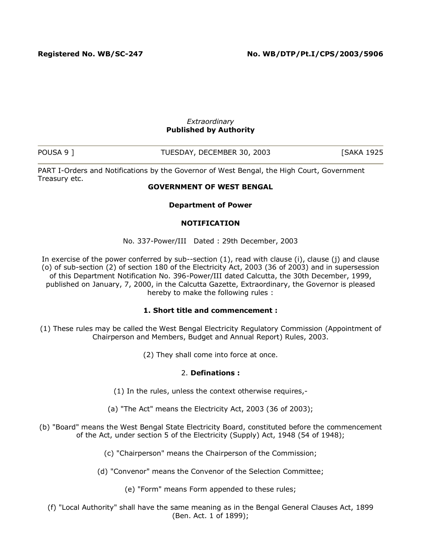#### *Extraordinary* **Published by Authority**

| POUSA 9 | TUESDAY, DECEMBER 30, 2003 | <b>SAKA 1925</b> |
|---------|----------------------------|------------------|

PART I-Orders and Notifications by the Governor of West Bengal, the High Court, Government Treasury etc.

### **GOVERNMENT OF WEST BENGAL**

**Department of Power**

### **NOTIFICATION**

No. 337-Power/III Dated : 29th December, 2003

In exercise of the power conferred by sub--section (1), read with clause (i), clause (j) and clause (o) of sub-section (2) of section 180 of the Electricity Act, 2003 (36 of 2003) and in supersession of this Department Notification No. 396-Power/III dated Calcutta, the 30th December, 1999, published on January, 7, 2000, in the Calcutta Gazette, Extraordinary, the Governor is pleased hereby to make the following rules :

## **1. Short title and commencement :**

- (1) These rules may be called the West Bengal Electricity Regulatory Commission (Appointment of Chairperson and Members, Budget and Annual Report) Rules, 2003.
	- (2) They shall come into force at once.

### 2. **Definations :**

- (1) In the rules, unless the context otherwise requires,-
- (a) "The Act" means the Electricity Act, 2003 (36 of 2003);
- (b) "Board" means the West Bengal State Electricity Board, constituted before the commencement of the Act, under section 5 of the Electricity (Supply) Act, 1948 (54 of 1948);
	- (c) "Chairperson" means the Chairperson of the Commission;
	- (d) "Convenor" means the Convenor of the Selection Committee;
		- (e) "Form" means Form appended to these rules;

(f) "Local Authority" shall have the same meaning as in the Bengal General Clauses Act, 1899 (Ben. Act. 1 of 1899);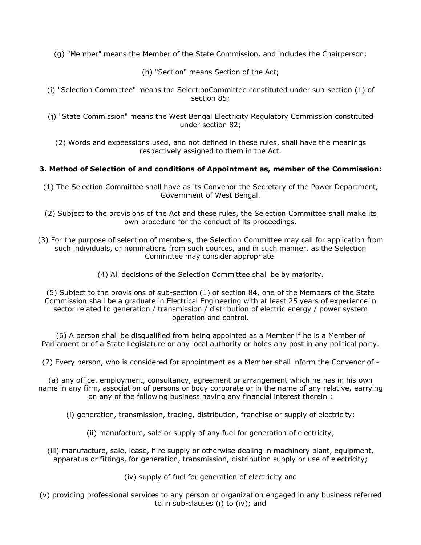(g) "Member" means the Member of the State Commission, and includes the Chairperson;

(h) "Section" means Section of the Act;

- (i) "Selection Committee" means the SelectionCommittee constituted under sub-section (1) of section 85;
- (j) "State Commission" means the West Bengal Electricity Regulatory Commission constituted under section 82;

(2) Words and expeessions used, and not defined in these rules, shall have the meanings respectively assigned to them in the Act.

### **3. Method of Selection of and conditions of Appointment as, member of the Commission:**

- (1) The Selection Committee shall have as its Convenor the Secretary of the Power Department, Government of West Bengal.
- (2) Subject to the provisions of the Act and these rules, the Selection Committee shall make its own procedure for the conduct of its proceedings.
- (3) For the purpose of selection of members, the Selection Committee may call for application from such individuals, or nominations from such sources, and in such manner, as the Selection Committee may consider appropriate.
	- (4) All decisions of the Selection Committee shall be by majority.

(5) Subject to the provisions of sub-section (1) of section 84, one of the Members of the State Commission shall be a graduate in Electrical Engineering with at least 25 years of experience in sector related to generation / transmission / distribution of electric energy / power system operation and control.

(6) A person shall be disqualified from being appointed as a Member if he is a Member of Parliament or of a State Legislature or any local authority or holds any post in any political party.

(7) Every person, who is considered for appointment as a Member shall inform the Convenor of -

(a) any office, employment, consultancy, agreement or arrangement which he has in his own name in any firm, association of persons or body corporate or in the name of any relative, earrying on any of the following business having any financial interest therein :

- (i) generation, transmission, trading, distribution, franchise or supply of electricity;
	- (ii) manufacture, sale or supply of any fuel for generation of electricity;
- (iii) manufacture, sale, lease, hire supply or otherwise dealing in machinery plant, equipment, apparatus or fittings, for generation, transmission, distribution supply or use of electricity;
	- (iv) supply of fuel for generation of electricity and
- (v) providing professional services to any person or organization engaged in any business referred to in sub-clauses (i) to (iv); and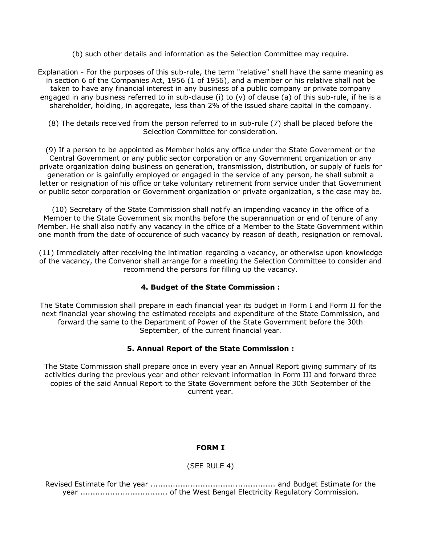(b) such other details and information as the Selection Committee may require.

Explanation - For the purposes of this sub-rule, the term "relative" shall have the same meaning as in section 6 of the Companies Act, 1956 (1 of 1956), and a member or his relative shall not be taken to have any financial interest in any business of a public company or private company engaged in any business referred to in sub-clause (i) to (v) of clause (a) of this sub-rule, if he is a shareholder, holding, in aggregate, less than 2% of the issued share capital in the company.

(8) The details received from the person referred to in sub-rule (7) shall be placed before the Selection Committee for consideration.

(9) If a person to be appointed as Member holds any office under the State Government or the Central Government or any public sector corporation or any Government organization or any private organization doing business on generation, transmission, distribution, or supply of fuels for generation or is gainfully employed or engaged in the service of any person, he shall submit a letter or resignation of his office or take voluntary retirement from service under that Government or public setor corporation or Government organization or private organization, s the case may be.

(10) Secretary of the State Commission shall notify an impending vacancy in the office of a Member to the State Government six months before the superannuation or end of tenure of any Member. He shall also notify any vacancy in the office of a Member to the State Government within one month from the date of occurence of such vacancy by reason of death, resignation or removal.

(11) Immediately after receiving the intimation regarding a vacancy, or otherwise upon knowledge of the vacancy, the Convenor shall arrange for a meeting the Selection Committee to consider and recommend the persons for filling up the vacancy.

## **4. Budget of the State Commission :**

The State Commission shall prepare in each financial year its budget in Form I and Form II for the next financial year showing the estimated receipts and expenditure of the State Commission, and forward the same to the Department of Power of the State Government before the 30th September, of the current financial year.

## **5. Annual Report of the State Commission :**

The State Commission shall prepare once in every year an Annual Report giving summary of its activities during the previous year and other relevant information in Form III and forward three copies of the said Annual Report to the State Government before the 30th September of the current year.

## **FORM I**

## (SEE RULE 4)

Revised Estimate for the year .................................................. and Budget Estimate for the year ................................... of the West Bengal Electricity Regulatory Commission.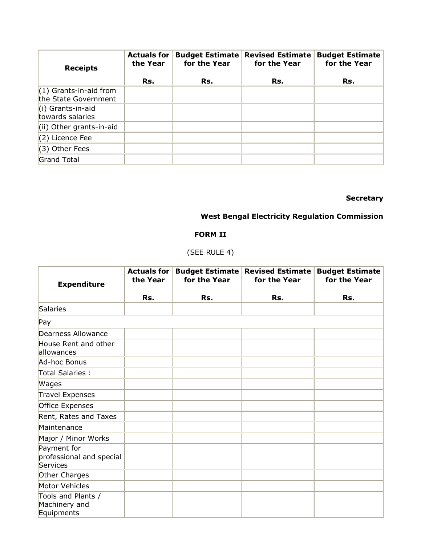| <b>Receipts</b>                                  | <b>Actuals for</b><br>the Year | <b>Budget Estimate</b><br>for the Year | <b>Revised Estimate</b><br>for the Year | <b>Budget Estimate</b><br>for the Year |
|--------------------------------------------------|--------------------------------|----------------------------------------|-----------------------------------------|----------------------------------------|
|                                                  | Rs.                            | Rs.                                    | Rs.                                     | Rs.                                    |
| $(1)$ Grants-in-aid from<br>the State Government |                                |                                        |                                         |                                        |
| (i) Grants-in-aid<br>towards salaries            |                                |                                        |                                         |                                        |
| (ii) Other grants-in-aid                         |                                |                                        |                                         |                                        |
| (2) Licence Fee                                  |                                |                                        |                                         |                                        |
| (3) Other Fees                                   |                                |                                        |                                         |                                        |
| Grand Total                                      |                                |                                        |                                         |                                        |

## **Secretary**

## **West Bengal Electricity Regulation Commission**

## **FORM II**

# (SEE RULE 4)

| <b>Expenditure</b>                                  | <b>Actuals for</b><br>the Year | <b>Budget Estimate</b><br>for the Year | <b>Revised Estimate</b><br>for the Year | <b>Budget Estimate</b><br>for the Year |
|-----------------------------------------------------|--------------------------------|----------------------------------------|-----------------------------------------|----------------------------------------|
|                                                     | Rs.                            | Rs.                                    | Rs.                                     | Rs.                                    |
| Salaries                                            |                                |                                        |                                         |                                        |
| Pay                                                 |                                |                                        |                                         |                                        |
| Dearness Allowance                                  |                                |                                        |                                         |                                        |
| House Rent and other<br>allowances                  |                                |                                        |                                         |                                        |
| Ad-hoc Bonus                                        |                                |                                        |                                         |                                        |
| Total Salaries :                                    |                                |                                        |                                         |                                        |
| Wages                                               |                                |                                        |                                         |                                        |
| <b>Travel Expenses</b>                              |                                |                                        |                                         |                                        |
| Office Expenses                                     |                                |                                        |                                         |                                        |
| Rent, Rates and Taxes                               |                                |                                        |                                         |                                        |
| Maintenance                                         |                                |                                        |                                         |                                        |
| Major / Minor Works                                 |                                |                                        |                                         |                                        |
| Payment for<br>professional and special<br>Services |                                |                                        |                                         |                                        |
| Other Charges                                       |                                |                                        |                                         |                                        |
| Motor Vehicles                                      |                                |                                        |                                         |                                        |
| Tools and Plants /<br>Machinery and<br>Equipments   |                                |                                        |                                         |                                        |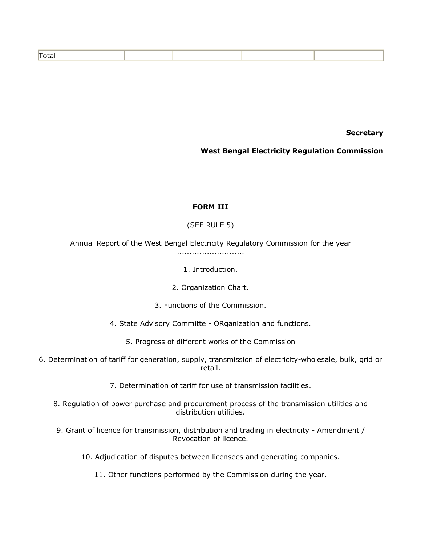| - -- |
|------|
|------|

**Secretary**

### **West Bengal Electricity Regulation Commission**

### **FORM III**

## (SEE RULE 5)

Annual Report of the West Bengal Electricity Regulatory Commission for the year ...........................

1. Introduction.

2. Organization Chart.

3. Functions of the Commission.

4. State Advisory Committe - ORganization and functions.

5. Progress of different works of the Commission

6. Determination of tariff for generation, supply, transmission of electricity-wholesale, bulk, grid or retail.

7. Determination of tariff for use of transmission facilities.

8. Regulation of power purchase and procurement process of the transmission utilities and distribution utilities.

9. Grant of licence for transmission, distribution and trading in electricity - Amendment / Revocation of licence.

10. Adjudication of disputes between licensees and generating companies.

11. Other functions performed by the Commission during the year.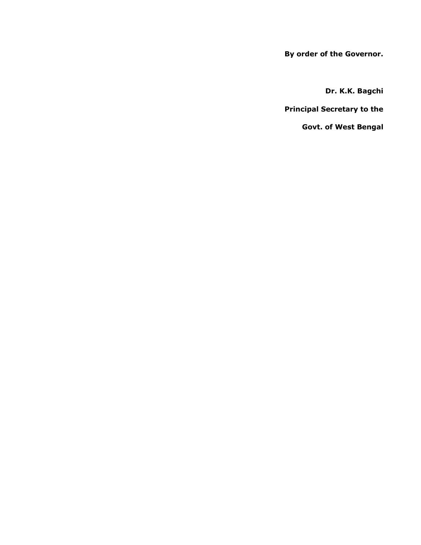**By order of the Governor.**

**Dr. K.K. Bagchi**

**Principal Secretary to the**

**Govt. of West Bengal**